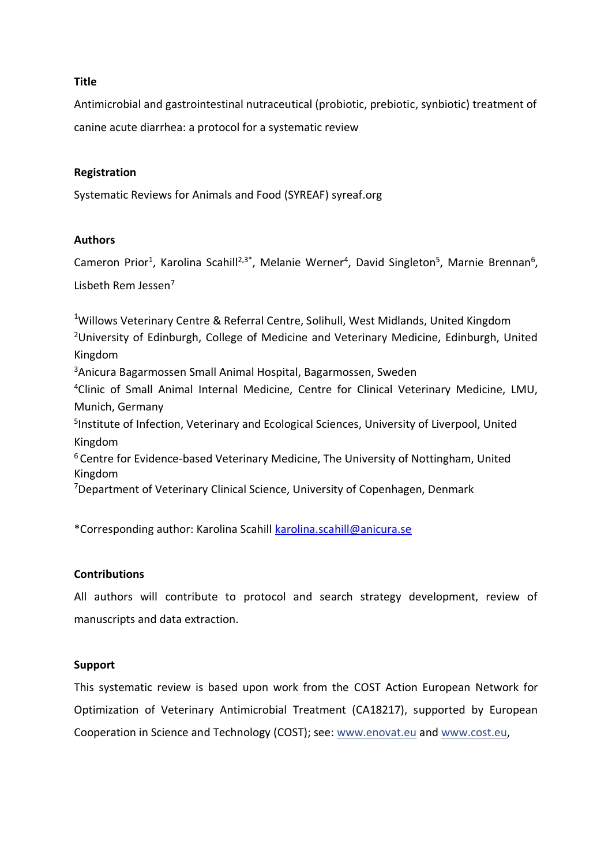## **Title**

Antimicrobial and gastrointestinal nutraceutical (probiotic, prebiotic, synbiotic) treatment of canine acute diarrhea: a protocol for a systematic review

## **Registration**

Systematic Reviews for Animals and Food (SYREAF) syreaf.org

## **Authors**

Cameron Prior<sup>1</sup>, Karolina Scahill<sup>2,3\*</sup>, Melanie Werner<sup>4</sup>, David Singleton<sup>5</sup>, Marnie Brennan<sup>6</sup>, Lisbeth Rem Jessen<sup>7</sup>

<sup>1</sup>Willows Veterinary Centre & Referral Centre, Solihull, West Midlands, United Kingdom <sup>2</sup>University of Edinburgh, College of Medicine and Veterinary Medicine, Edinburgh, United Kingdom <sup>3</sup>Anicura Bagarmossen Small Animal Hospital, Bagarmossen, Sweden <sup>4</sup>Clinic of Small Animal Internal Medicine, Centre for Clinical Veterinary Medicine, LMU, Munich, Germany 5 Institute of Infection, Veterinary and Ecological Sciences, University of Liverpool, United Kingdom <sup>6</sup> Centre for Evidence-based Veterinary Medicine, The University of Nottingham, United Kingdom <sup>7</sup>Department of Veterinary Clinical Science, University of Copenhagen, Denmark

\*Corresponding author: Karolina Scahill [karolina.scahill@anicura.se](mailto:karolina.scahill@anicura.se)

## **Contributions**

All authors will contribute to protocol and search strategy development, review of manuscripts and data extraction.

## **Support**

This systematic review is based upon work from the COST Action European Network for Optimization of Veterinary Antimicrobial Treatment (CA18217), supported by European Cooperation in Science and Technology (COST); see: [www.enovat.eu](http://www.enovat.eu/) and [www.cost.eu,](http://www.cost.eu/)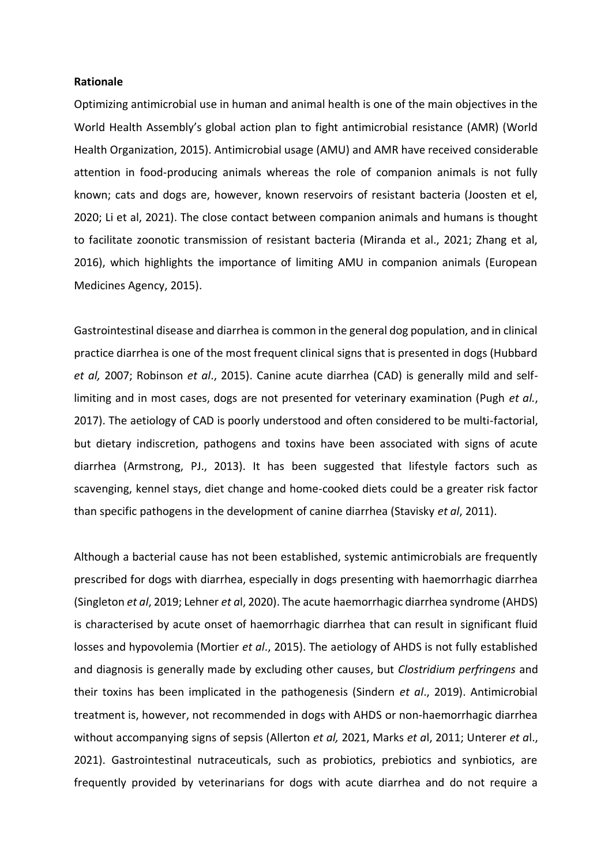#### **Rationale**

Optimizing antimicrobial use in human and animal health is one of the main objectives in the World Health Assembly's global action plan to fight antimicrobial resistance (AMR) (World Health Organization, 2015). Antimicrobial usage (AMU) and AMR have received considerable attention in food-producing animals whereas the role of companion animals is not fully known; cats and dogs are, however, known reservoirs of resistant bacteria (Joosten et el, 2020; Li et al, 2021). The close contact between companion animals and humans is thought to facilitate zoonotic transmission of resistant bacteria (Miranda et al., 2021; Zhang et al, 2016), which highlights the importance of limiting AMU in companion animals (European Medicines Agency, 2015).

Gastrointestinal disease and diarrhea is common in the general dog population, and in clinical practice diarrhea is one of the most frequent clinical signs that is presented in dogs (Hubbard *et al,* 2007; Robinson *et al*., 2015). Canine acute diarrhea (CAD) is generally mild and selflimiting and in most cases, dogs are not presented for veterinary examination (Pugh *et al.*, 2017). The aetiology of CAD is poorly understood and often considered to be multi-factorial, but dietary indiscretion, pathogens and toxins have been associated with signs of acute diarrhea (Armstrong, PJ., 2013). It has been suggested that lifestyle factors such as scavenging, kennel stays, diet change and home-cooked diets could be a greater risk factor than specific pathogens in the development of canine diarrhea (Stavisky *et al*, 2011).

Although a bacterial cause has not been established, systemic antimicrobials are frequently prescribed for dogs with diarrhea, especially in dogs presenting with haemorrhagic diarrhea (Singleton *et al*, 2019; Lehner *et a*l, 2020). The acute haemorrhagic diarrhea syndrome (AHDS) is characterised by acute onset of haemorrhagic diarrhea that can result in significant fluid losses and hypovolemia (Mortier *et al*., 2015). The aetiology of AHDS is not fully established and diagnosis is generally made by excluding other causes, but *Clostridium perfringens* and their toxins has been implicated in the pathogenesis (Sindern *et al*., 2019). Antimicrobial treatment is, however, not recommended in dogs with AHDS or non-haemorrhagic diarrhea without accompanying signs of sepsis (Allerton *et al,* 2021, Marks *et a*l, 2011; Unterer *et a*l., 2021). Gastrointestinal nutraceuticals, such as probiotics, prebiotics and synbiotics, are frequently provided by veterinarians for dogs with acute diarrhea and do not require a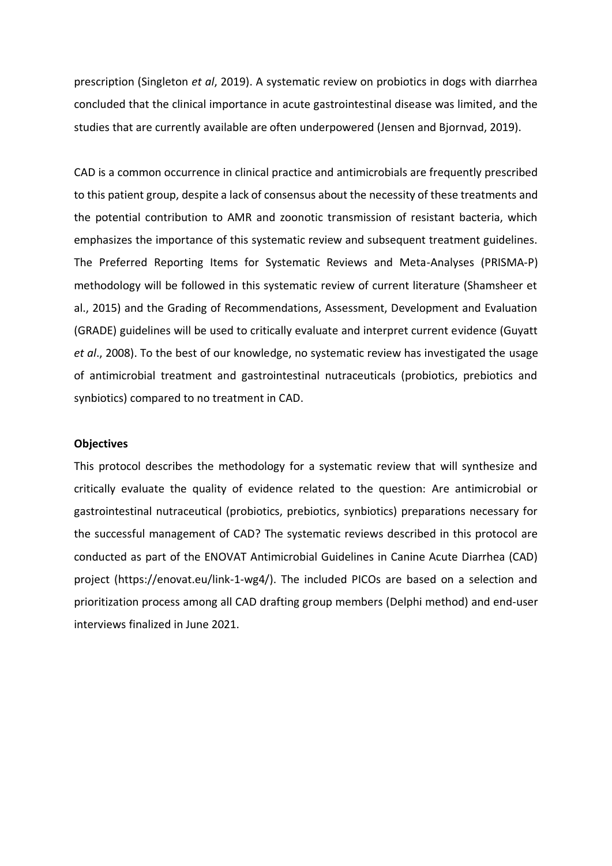prescription (Singleton *et al*, 2019). A systematic review on probiotics in dogs with diarrhea concluded that the clinical importance in acute gastrointestinal disease was limited, and the studies that are currently available are often underpowered (Jensen and Bjornvad, 2019).

CAD is a common occurrence in clinical practice and antimicrobials are frequently prescribed to this patient group, despite a lack of consensus about the necessity of these treatments and the potential contribution to AMR and zoonotic transmission of resistant bacteria, which emphasizes the importance of this systematic review and subsequent treatment guidelines. The Preferred Reporting Items for Systematic Reviews and Meta-Analyses (PRISMA-P) methodology will be followed in this systematic review of current literature (Shamsheer et al., 2015) and the Grading of Recommendations, Assessment, Development and Evaluation (GRADE) guidelines will be used to critically evaluate and interpret current evidence (Guyatt *et al*., 2008). To the best of our knowledge, no systematic review has investigated the usage of antimicrobial treatment and gastrointestinal nutraceuticals (probiotics, prebiotics and synbiotics) compared to no treatment in CAD.

#### **Objectives**

This protocol describes the methodology for a systematic review that will synthesize and critically evaluate the quality of evidence related to the question: Are antimicrobial or gastrointestinal nutraceutical (probiotics, prebiotics, synbiotics) preparations necessary for the successful management of CAD? The systematic reviews described in this protocol are conducted as part of the ENOVAT Antimicrobial Guidelines in Canine Acute Diarrhea (CAD) project (https://enovat.eu/link-1-wg4/). The included PICOs are based on a selection and prioritization process among all CAD drafting group members (Delphi method) and end-user interviews finalized in June 2021.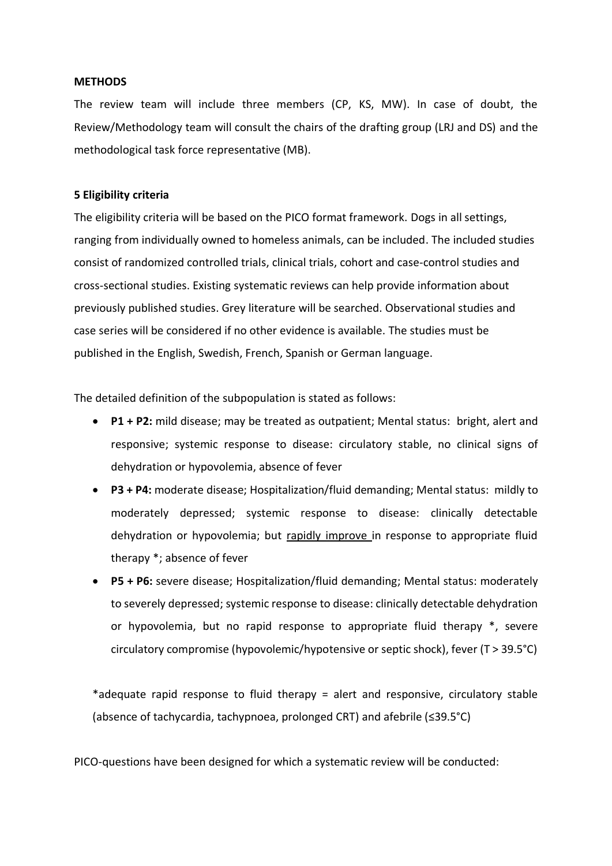#### **METHODS**

The review team will include three members (CP, KS, MW). In case of doubt, the Review/Methodology team will consult the chairs of the drafting group (LRJ and DS) and the methodological task force representative (MB).

#### **5 Eligibility criteria**

The eligibility criteria will be based on the PICO format framework. Dogs in all settings, ranging from individually owned to homeless animals, can be included. The included studies consist of randomized controlled trials, clinical trials, cohort and case-control studies and cross-sectional studies. Existing systematic reviews can help provide information about previously published studies. Grey literature will be searched. Observational studies and case series will be considered if no other evidence is available. The studies must be published in the English, Swedish, French, Spanish or German language.

The detailed definition of the subpopulation is stated as follows:

- **P1 + P2:** mild disease; may be treated as outpatient; Mental status: bright, alert and responsive; systemic response to disease: circulatory stable, no clinical signs of dehydration or hypovolemia, absence of fever
- **P3 + P4:** moderate disease; Hospitalization/fluid demanding; Mental status: mildly to moderately depressed; systemic response to disease: clinically detectable dehydration or hypovolemia; but rapidly improve in response to appropriate fluid therapy \*; absence of fever
- **P5 + P6:** severe disease; Hospitalization/fluid demanding; Mental status: moderately to severely depressed; systemic response to disease: clinically detectable dehydration or hypovolemia, but no rapid response to appropriate fluid therapy \*, severe circulatory compromise (hypovolemic/hypotensive or septic shock), fever (T > 39.5°C)

\*adequate rapid response to fluid therapy = alert and responsive, circulatory stable (absence of tachycardia, tachypnoea, prolonged CRT) and afebrile (≤39.5°C)

PICO-questions have been designed for which a systematic review will be conducted: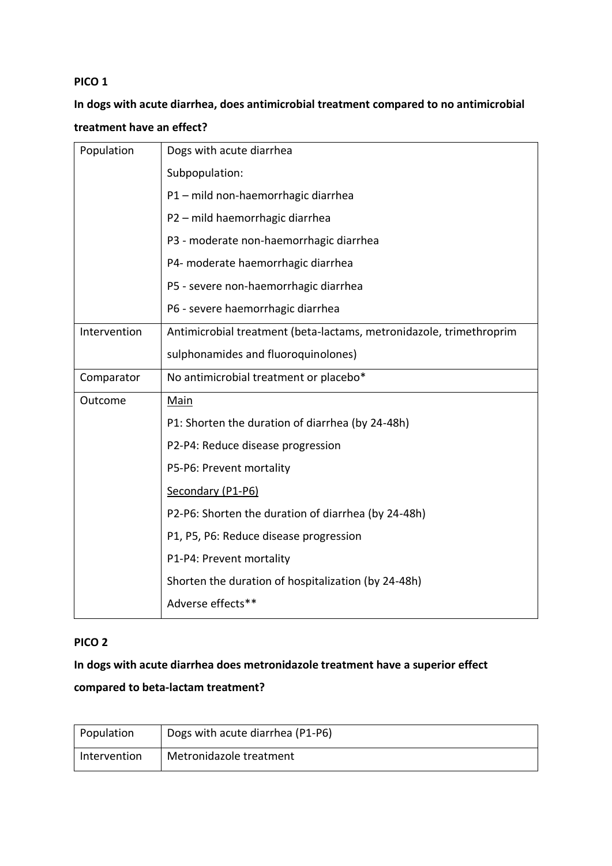# **In dogs with acute diarrhea, does antimicrobial treatment compared to no antimicrobial treatment have an effect?**

| Population   | Dogs with acute diarrhea                                            |  |
|--------------|---------------------------------------------------------------------|--|
|              | Subpopulation:                                                      |  |
|              | P1 - mild non-haemorrhagic diarrhea                                 |  |
|              | P2 - mild haemorrhagic diarrhea                                     |  |
|              | P3 - moderate non-haemorrhagic diarrhea                             |  |
|              | P4- moderate haemorrhagic diarrhea                                  |  |
|              | P5 - severe non-haemorrhagic diarrhea                               |  |
|              | P6 - severe haemorrhagic diarrhea                                   |  |
| Intervention | Antimicrobial treatment (beta-lactams, metronidazole, trimethroprim |  |
|              | sulphonamides and fluoroquinolones)                                 |  |
| Comparator   | No antimicrobial treatment or placebo*                              |  |
| Outcome      | Main                                                                |  |
|              | P1: Shorten the duration of diarrhea (by 24-48h)                    |  |
|              | P2-P4: Reduce disease progression                                   |  |
|              | P5-P6: Prevent mortality                                            |  |
|              | Secondary (P1-P6)                                                   |  |
|              | P2-P6: Shorten the duration of diarrhea (by 24-48h)                 |  |
|              | P1, P5, P6: Reduce disease progression                              |  |
|              | P1-P4: Prevent mortality                                            |  |
|              | Shorten the duration of hospitalization (by 24-48h)                 |  |
|              | Adverse effects**                                                   |  |

# **PICO 2**

**In dogs with acute diarrhea does metronidazole treatment have a superior effect compared to beta-lactam treatment?**

| Population   | Dogs with acute diarrhea (P1-P6) |
|--------------|----------------------------------|
| Intervention | Metronidazole treatment          |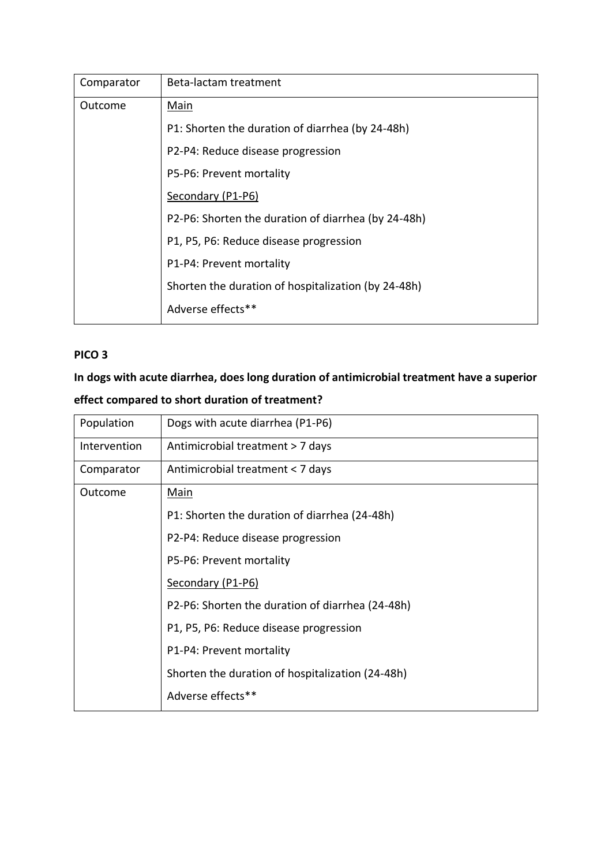| Comparator                                                                      | Beta-lactam treatment                               |  |
|---------------------------------------------------------------------------------|-----------------------------------------------------|--|
| Outcome                                                                         | Main                                                |  |
|                                                                                 | P1: Shorten the duration of diarrhea (by 24-48h)    |  |
| P2-P4: Reduce disease progression                                               |                                                     |  |
|                                                                                 | P5-P6: Prevent mortality                            |  |
|                                                                                 | Secondary (P1-P6)                                   |  |
|                                                                                 | P2-P6: Shorten the duration of diarrhea (by 24-48h) |  |
|                                                                                 | P1, P5, P6: Reduce disease progression              |  |
| P1-P4: Prevent mortality<br>Shorten the duration of hospitalization (by 24-48h) |                                                     |  |
|                                                                                 |                                                     |  |
|                                                                                 | Adverse effects**                                   |  |

# **In dogs with acute diarrhea, does long duration of antimicrobial treatment have a superior effect compared to short duration of treatment?**

| Population   | Dogs with acute diarrhea (P1-P6)                 |
|--------------|--------------------------------------------------|
| Intervention | Antimicrobial treatment > 7 days                 |
| Comparator   | Antimicrobial treatment < 7 days                 |
| Outcome      | Main                                             |
|              | P1: Shorten the duration of diarrhea (24-48h)    |
|              | P2-P4: Reduce disease progression                |
|              | P5-P6: Prevent mortality                         |
|              | Secondary (P1-P6)                                |
|              | P2-P6: Shorten the duration of diarrhea (24-48h) |
|              | P1, P5, P6: Reduce disease progression           |
|              | P1-P4: Prevent mortality                         |
|              | Shorten the duration of hospitalization (24-48h) |
|              | Adverse effects**                                |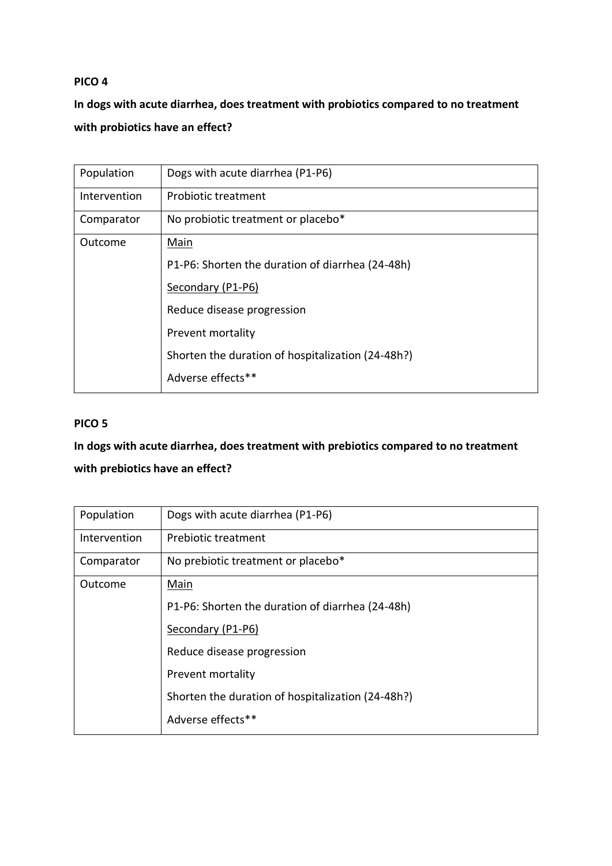# **In dogs with acute diarrhea, does treatment with probiotics compared to no treatment with probiotics have an effect?**

| Population   | Dogs with acute diarrhea (P1-P6)                  |
|--------------|---------------------------------------------------|
| Intervention | Probiotic treatment                               |
| Comparator   | No probiotic treatment or placebo*                |
| Outcome      | Main                                              |
|              | P1-P6: Shorten the duration of diarrhea (24-48h)  |
|              | Secondary (P1-P6)                                 |
|              | Reduce disease progression                        |
|              | Prevent mortality                                 |
|              | Shorten the duration of hospitalization (24-48h?) |
|              | Adverse effects**                                 |
|              |                                                   |

# **PICO 5**

# **In dogs with acute diarrhea, does treatment with prebiotics compared to no treatment with prebiotics have an effect?**

| Population   | Dogs with acute diarrhea (P1-P6)                  |
|--------------|---------------------------------------------------|
| Intervention | Prebiotic treatment                               |
| Comparator   | No prebiotic treatment or placebo*                |
| Outcome      | Main                                              |
|              | P1-P6: Shorten the duration of diarrhea (24-48h)  |
|              | Secondary (P1-P6)                                 |
|              | Reduce disease progression                        |
|              | Prevent mortality                                 |
|              | Shorten the duration of hospitalization (24-48h?) |
|              | Adverse effects**                                 |
|              |                                                   |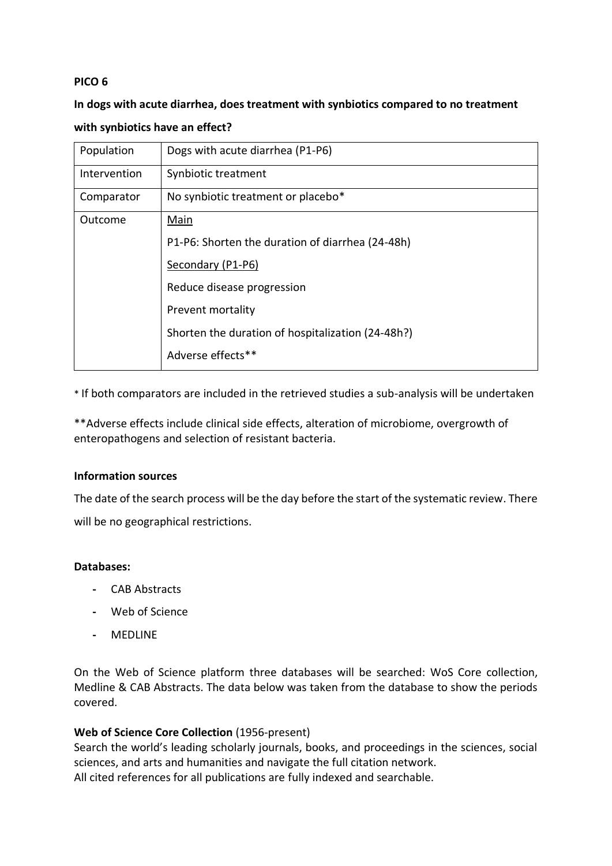# **In dogs with acute diarrhea, does treatment with synbiotics compared to no treatment with synbiotics have an effect?**

| Population   | Dogs with acute diarrhea (P1-P6)                  |
|--------------|---------------------------------------------------|
| Intervention | Synbiotic treatment                               |
| Comparator   | No synbiotic treatment or placebo*                |
| Outcome      | Main                                              |
|              | P1-P6: Shorten the duration of diarrhea (24-48h)  |
|              | Secondary (P1-P6)                                 |
|              | Reduce disease progression                        |
|              | Prevent mortality                                 |
|              | Shorten the duration of hospitalization (24-48h?) |
|              | Adverse effects**                                 |

\* If both comparators are included in the retrieved studies a sub-analysis will be undertaken

\*\*Adverse effects include clinical side effects, alteration of microbiome, overgrowth of enteropathogens and selection of resistant bacteria.

## **Information sources**

The date of the search process will be the day before the start of the systematic review. There will be no geographical restrictions.

## **Databases:**

- **-** CAB Abstracts
- **-** Web of Science
- **-** MEDLINE

On the Web of Science platform three databases will be searched: WoS Core collection, Medline & CAB Abstracts. The data below was taken from the database to show the periods covered.

# **Web of Science Core Collection** (1956-present)

Search the world's leading scholarly journals, books, and proceedings in the sciences, social sciences, and arts and humanities and navigate the full citation network. All cited references for all publications are fully indexed and searchable.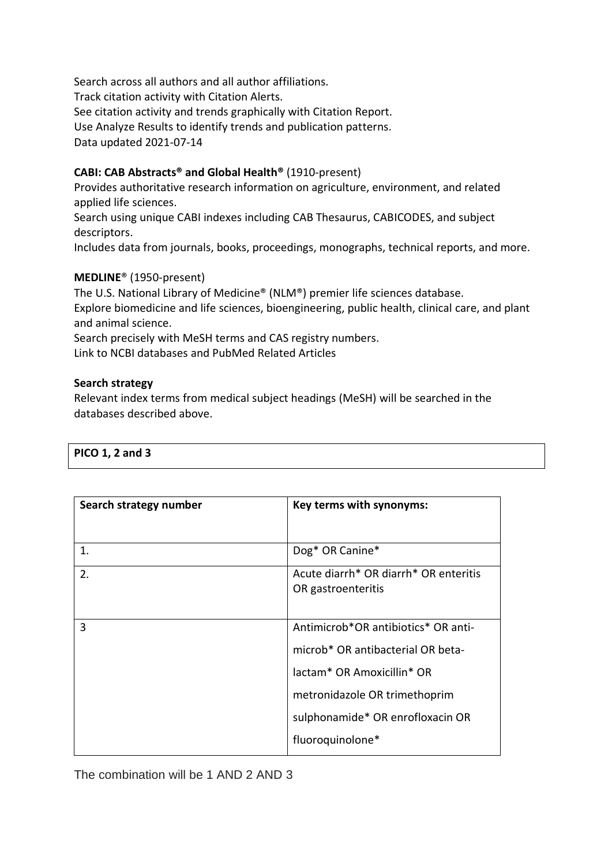Search across all authors and all author affiliations. Track citation activity with Citation Alerts. See citation activity and trends graphically with Citation Report. Use Analyze Results to identify trends and publication patterns. Data updated 2021-07-14

# **CABI: CAB Abstracts® and Global Health®** (1910-present)

Provides authoritative research information on agriculture, environment, and related applied life sciences.

Search using unique CABI indexes including CAB Thesaurus, CABICODES, and subject descriptors.

Includes data from journals, books, proceedings, monographs, technical reports, and more.

# **MEDLINE**® (1950-present)

The U.S. National Library of Medicine® (NLM®) premier life sciences database. Explore biomedicine and life sciences, bioengineering, public health, clinical care, and plant and animal science.

Search precisely with MeSH terms and CAS registry numbers.

Link to NCBI databases and PubMed Related Articles

## **Search strategy**

Relevant index terms from medical subject headings (MeSH) will be searched in the databases described above.

| PICO 1, 2 and 3 |  |  |
|-----------------|--|--|
|                 |  |  |

| Search strategy number | Key terms with synonyms:              |
|------------------------|---------------------------------------|
|                        |                                       |
| 1.                     | Dog* OR Canine*                       |
| 2.                     | Acute diarrh* OR diarrh* OR enteritis |
|                        | OR gastroenteritis                    |
|                        |                                       |
| 3                      | Antimicrob*OR antibiotics* OR anti-   |
|                        | microb* OR antibacterial OR beta-     |
|                        | lactam* OR Amoxicillin* OR            |
|                        | metronidazole OR trimethoprim         |
|                        | sulphonamide* OR enrofloxacin OR      |
|                        | fluoroquinolone*                      |

The combination will be 1 AND 2 AND 3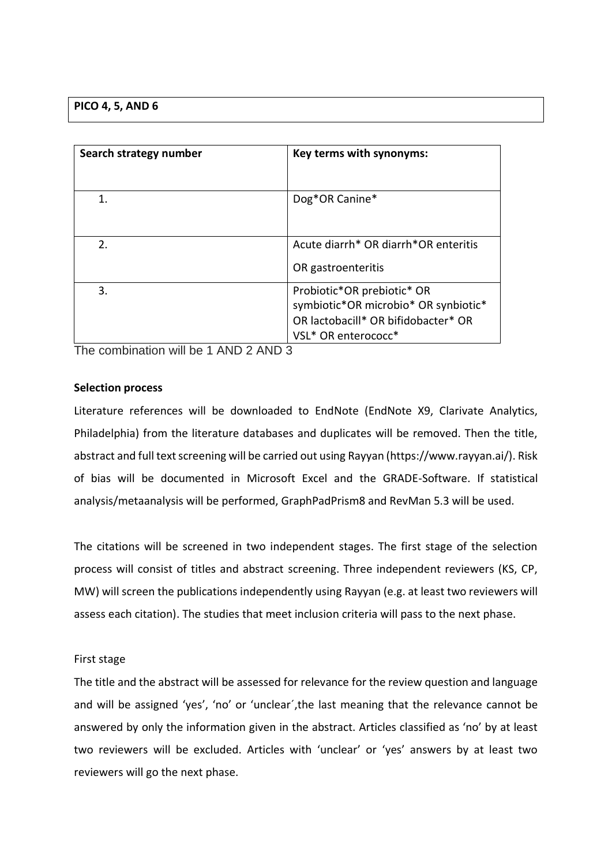## **PICO 4, 5, AND 6**

| Search strategy number | Key terms with synonyms:                                                                                                         |
|------------------------|----------------------------------------------------------------------------------------------------------------------------------|
| 1.                     | Dog*OR Canine*                                                                                                                   |
| 2.                     | Acute diarrh* OR diarrh*OR enteritis<br>OR gastroenteritis                                                                       |
| 3.                     | Probiotic*OR prebiotic* OR<br>symbiotic*OR microbio* OR synbiotic*<br>OR lactobacill* OR bifidobacter* OR<br>VSL* OR enterococc* |

The combination will be 1 AND 2 AND 3

## **Selection process**

Literature references will be downloaded to EndNote (EndNote X9, Clarivate Analytics, Philadelphia) from the literature databases and duplicates will be removed. Then the title, abstract and full text screening will be carried out using Rayyan (https://www.rayyan.ai/). Risk of bias will be documented in Microsoft Excel and the GRADE-Software. If statistical analysis/metaanalysis will be performed, GraphPadPrism8 and RevMan 5.3 will be used.

The citations will be screened in two independent stages. The first stage of the selection process will consist of titles and abstract screening. Three independent reviewers (KS, CP, MW) will screen the publications independently using Rayyan (e.g. at least two reviewers will assess each citation). The studies that meet inclusion criteria will pass to the next phase.

## First stage

The title and the abstract will be assessed for relevance for the review question and language and will be assigned 'yes', 'no' or 'unclear´,the last meaning that the relevance cannot be answered by only the information given in the abstract. Articles classified as 'no' by at least two reviewers will be excluded. Articles with 'unclear' or 'yes' answers by at least two reviewers will go the next phase.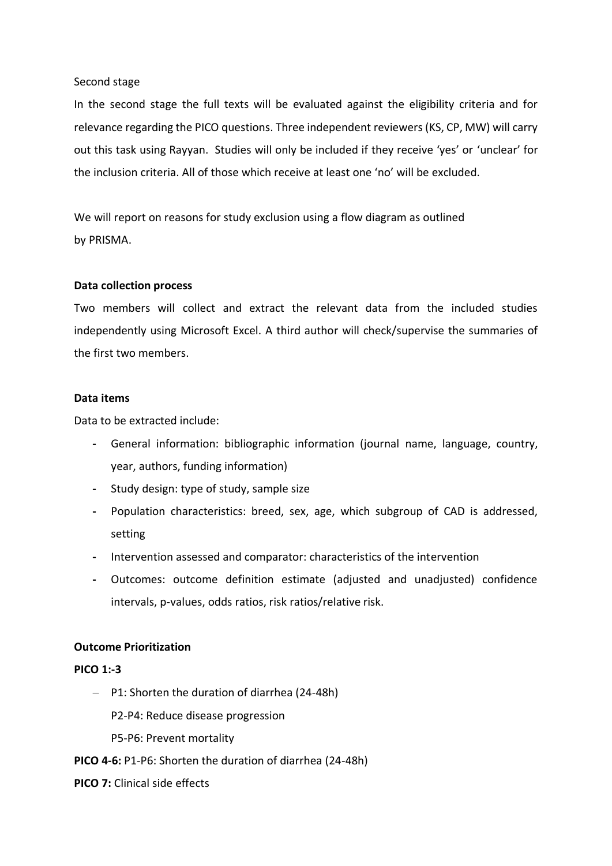#### Second stage

In the second stage the full texts will be evaluated against the eligibility criteria and for relevance regarding the PICO questions. Three independent reviewers (KS, CP, MW) will carry out this task using Rayyan. Studies will only be included if they receive 'yes' or 'unclear' for the inclusion criteria. All of those which receive at least one 'no' will be excluded.

We will report on reasons for study exclusion using a flow diagram as outlined by PRISMA.

## **Data collection process**

Two members will collect and extract the relevant data from the included studies independently using Microsoft Excel. A third author will check/supervise the summaries of the first two members.

#### **Data items**

Data to be extracted include:

- **-** General information: bibliographic information (journal name, language, country, year, authors, funding information)
- **-** Study design: type of study, sample size
- **-** Population characteristics: breed, sex, age, which subgroup of CAD is addressed, setting
- **-** Intervention assessed and comparator: characteristics of the intervention
- **-** Outcomes: outcome definition estimate (adjusted and unadjusted) confidence intervals, p-values, odds ratios, risk ratios/relative risk.

## **Outcome Prioritization**

## **PICO 1:-3**

− P1: Shorten the duration of diarrhea (24-48h)

P2-P4: Reduce disease progression

- P5-P6: Prevent mortality
- **PICO 4-6:** P1-P6: Shorten the duration of diarrhea (24-48h)
- **PICO 7:** Clinical side effects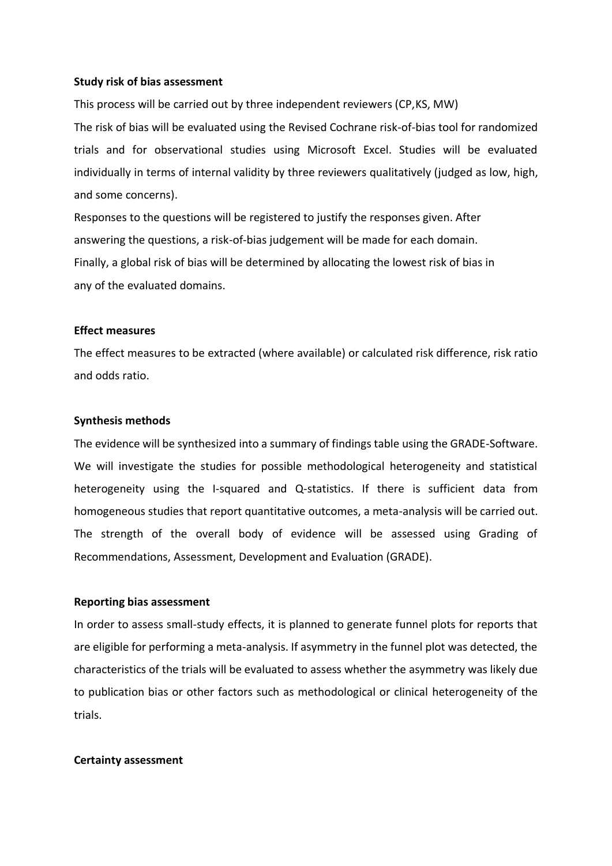#### **Study risk of bias assessment**

This process will be carried out by three independent reviewers (CP,KS, MW) The risk of bias will be evaluated using the Revised Cochrane risk-of-bias tool for randomized trials and for observational studies using Microsoft Excel. Studies will be evaluated individually in terms of internal validity by three reviewers qualitatively (judged as low, high, and some concerns).

Responses to the questions will be registered to justify the responses given. After answering the questions, a risk-of-bias judgement will be made for each domain. Finally, a global risk of bias will be determined by allocating the lowest risk of bias in any of the evaluated domains.

#### **Effect measures**

The effect measures to be extracted (where available) or calculated risk difference, risk ratio and odds ratio.

#### **Synthesis methods**

The evidence will be synthesized into a summary of findings table using the GRADE-Software. We will investigate the studies for possible methodological heterogeneity and statistical heterogeneity using the I-squared and Q-statistics. If there is sufficient data from homogeneous studies that report quantitative outcomes, a meta-analysis will be carried out. The strength of the overall body of evidence will be assessed using Grading of Recommendations, Assessment, Development and Evaluation (GRADE).

#### **Reporting bias assessment**

In order to assess small-study effects, it is planned to generate funnel plots for reports that are eligible for performing a meta-analysis. If asymmetry in the funnel plot was detected, the characteristics of the trials will be evaluated to assess whether the asymmetry was likely due to publication bias or other factors such as methodological or clinical heterogeneity of the trials.

#### **Certainty assessment**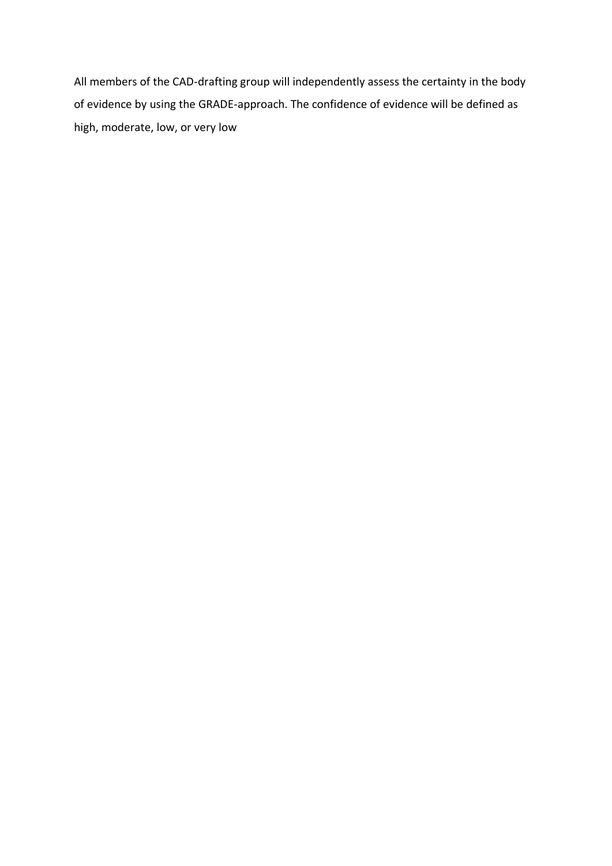All members of the CAD-drafting group will independently assess the certainty in the body of evidence by using the GRADE-approach. The confidence of evidence will be defined as high, moderate, low, or very low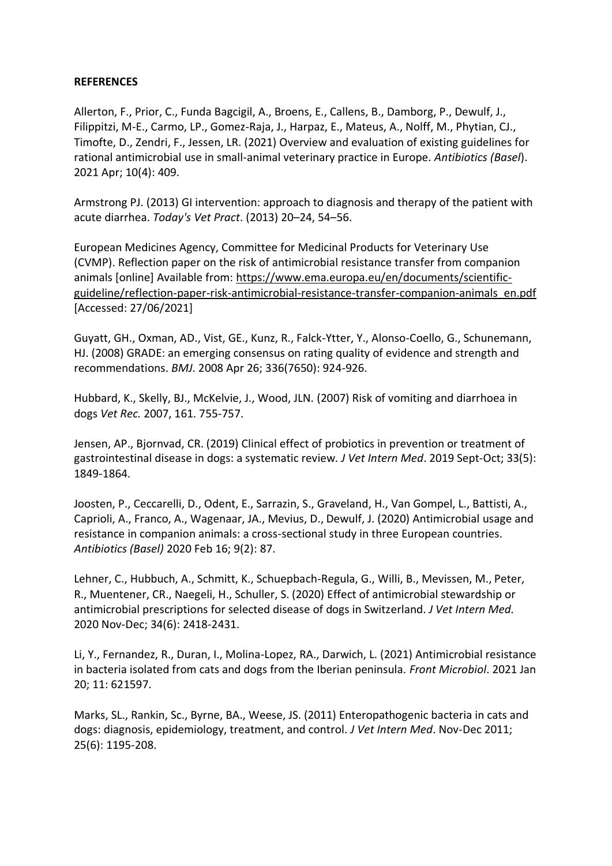#### **REFERENCES**

Allerton, F., Prior, C., Funda Bagcigil, A., Broens, E., Callens, B., Damborg, P., Dewulf, J., Filippitzi, M-E., Carmo, LP., Gomez-Raja, J., Harpaz, E., Mateus, A., Nolff, M., Phytian, CJ., Timofte, D., Zendri, F., Jessen, LR. (2021) Overview and evaluation of existing guidelines for rational antimicrobial use in small-animal veterinary practice in Europe. *Antibiotics (Basel*). 2021 Apr; 10(4): 409.

Armstrong PJ. (2013) GI intervention: approach to diagnosis and therapy of the patient with acute diarrhea. *Today's Vet Pract*. (2013) 20–24, 54–56.

European Medicines Agency, Committee for Medicinal Products for Veterinary Use (CVMP). Reflection paper on the risk of antimicrobial resistance transfer from companion animals [online] Available from: [https://www.ema.europa.eu/en/documents/scientific](https://www.ema.europa.eu/en/documents/scientific-guideline/reflection-paper-risk-antimicrobial-resistance-transfer-companion-animals_en.pdf)[guideline/reflection-paper-risk-antimicrobial-resistance-transfer-companion-animals\\_en.pdf](https://www.ema.europa.eu/en/documents/scientific-guideline/reflection-paper-risk-antimicrobial-resistance-transfer-companion-animals_en.pdf) [Accessed: 27/06/2021]

Guyatt, GH., Oxman, AD., Vist, GE., Kunz, R., Falck-Ytter, Y., Alonso-Coello, G., Schunemann, HJ. (2008) GRADE: an emerging consensus on rating quality of evidence and strength and recommendations. *BMJ*. 2008 Apr 26; 336(7650): 924-926.

Hubbard, K., Skelly, BJ., McKelvie, J., Wood, JLN. (2007) Risk of vomiting and diarrhoea in dogs *Vet Rec.* 2007, 161. 755-757.

Jensen, AP., Bjornvad, CR. (2019) Clinical effect of probiotics in prevention or treatment of gastrointestinal disease in dogs: a systematic review. *J Vet Intern Med*. 2019 Sept-Oct; 33(5): 1849-1864.

Joosten, P., Ceccarelli, D., Odent, E., Sarrazin, S., Graveland, H., Van Gompel, L., Battisti, A., Caprioli, A., Franco, A., Wagenaar, JA., Mevius, D., Dewulf, J. (2020) Antimicrobial usage and resistance in companion animals: a cross-sectional study in three European countries. *Antibiotics (Basel)* 2020 Feb 16; 9(2): 87.

Lehner, C., Hubbuch, A., Schmitt, K., Schuepbach-Regula, G., Willi, B., Mevissen, M., Peter, R., Muentener, CR., Naegeli, H., Schuller, S. (2020) Effect of antimicrobial stewardship or antimicrobial prescriptions for selected disease of dogs in Switzerland. *J Vet Intern Med.* 2020 Nov-Dec; 34(6): 2418-2431.

Li, Y., Fernandez, R., Duran, I., Molina-Lopez, RA., Darwich, L. (2021) Antimicrobial resistance in bacteria isolated from cats and dogs from the Iberian peninsula. *Front Microbiol*. 2021 Jan 20; 11: 621597.

Marks, SL., Rankin, Sc., Byrne, BA., Weese, JS. (2011) Enteropathogenic bacteria in cats and dogs: diagnosis, epidemiology, treatment, and control. *J Vet Intern Med*. Nov-Dec 2011; 25(6): 1195-208.